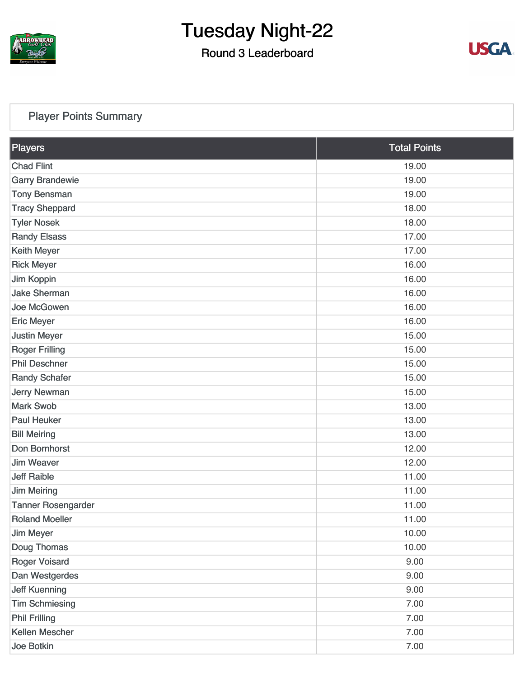

### Round 3 Leaderboard



### [Player Points Summary](https://static.golfgenius.com/v2tournaments/total_points?league_id=8105993687684621485&round_id=8105995527977444575)

| Players                   | <b>Total Points</b> |
|---------------------------|---------------------|
| <b>Chad Flint</b>         | 19.00               |
| <b>Garry Brandewie</b>    | 19.00               |
| <b>Tony Bensman</b>       | 19.00               |
| <b>Tracy Sheppard</b>     | 18.00               |
| <b>Tyler Nosek</b>        | 18.00               |
| <b>Randy Elsass</b>       | 17.00               |
| Keith Meyer               | 17.00               |
| <b>Rick Meyer</b>         | 16.00               |
| Jim Koppin                | 16.00               |
| <b>Jake Sherman</b>       | 16.00               |
| Joe McGowen               | 16.00               |
| <b>Eric Meyer</b>         | 16.00               |
| <b>Justin Meyer</b>       | 15.00               |
| <b>Roger Frilling</b>     | 15.00               |
| <b>Phil Deschner</b>      | 15.00               |
| <b>Randy Schafer</b>      | 15.00               |
| <b>Jerry Newman</b>       | 15.00               |
| <b>Mark Swob</b>          | 13.00               |
| <b>Paul Heuker</b>        | 13.00               |
| <b>Bill Meiring</b>       | 13.00               |
| Don Bornhorst             | 12.00               |
| <b>Jim Weaver</b>         | 12.00               |
| <b>Jeff Raible</b>        | 11.00               |
| <b>Jim Meiring</b>        | 11.00               |
| <b>Tanner Rosengarder</b> | 11.00               |
| <b>Roland Moeller</b>     | 11.00               |
| <b>Jim Meyer</b>          | 10.00               |
| Doug Thomas               | 10.00               |
| <b>Roger Voisard</b>      | 9.00                |
| Dan Westgerdes            | 9.00                |
| <b>Jeff Kuenning</b>      | 9.00                |
| <b>Tim Schmiesing</b>     | 7.00                |
| <b>Phil Frilling</b>      | 7.00                |
| Kellen Mescher            | 7.00                |
| Joe Botkin                | 7.00                |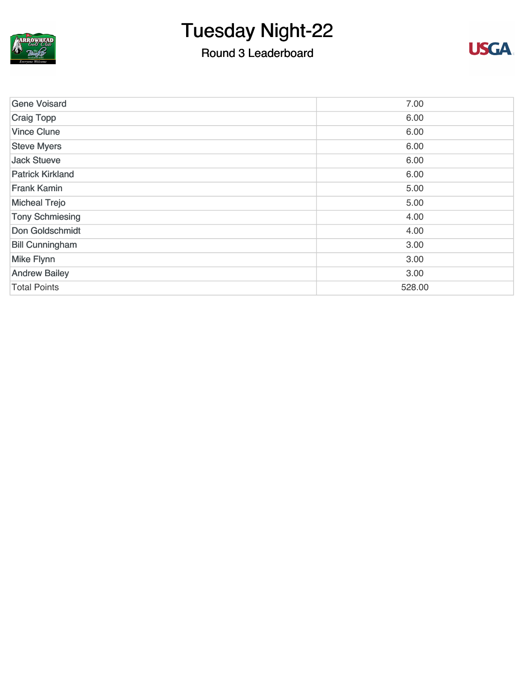

ARROWUEAD

### Round 3 Leaderboard



| <b>Gene Voisard</b>     | 7.00   |
|-------------------------|--------|
| Craig Topp              | 6.00   |
| <b>Vince Clune</b>      | 6.00   |
| <b>Steve Myers</b>      | 6.00   |
| <b>Jack Stueve</b>      | 6.00   |
| <b>Patrick Kirkland</b> | 6.00   |
| <b>Frank Kamin</b>      | 5.00   |
| <b>Micheal Trejo</b>    | 5.00   |
| <b>Tony Schmiesing</b>  | 4.00   |
| Don Goldschmidt         | 4.00   |
| <b>Bill Cunningham</b>  | 3.00   |
| <b>Mike Flynn</b>       | 3.00   |
| <b>Andrew Bailey</b>    | 3.00   |
| <b>Total Points</b>     | 528.00 |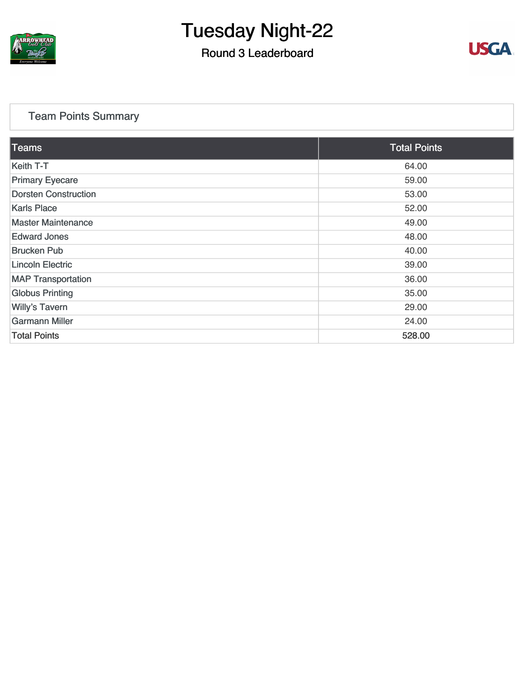

### Round 3 Leaderboard



### [Team Points Summary](https://static.golfgenius.com/v2tournaments/team_points?league_id=8105993687684621485&round_id=8105995527977444575)

| <b>Teams</b>                | <b>Total Points</b> |
|-----------------------------|---------------------|
| Keith T-T                   | 64.00               |
| <b>Primary Eyecare</b>      | 59.00               |
| <b>Dorsten Construction</b> | 53.00               |
| <b>Karls Place</b>          | 52.00               |
| <b>Master Maintenance</b>   | 49.00               |
| <b>Edward Jones</b>         | 48.00               |
| <b>Brucken Pub</b>          | 40.00               |
| <b>Lincoln Electric</b>     | 39.00               |
| <b>MAP Transportation</b>   | 36.00               |
| <b>Globus Printing</b>      | 35.00               |
| <b>Willy's Tavern</b>       | 29.00               |
| <b>Garmann Miller</b>       | 24.00               |
| <b>Total Points</b>         | 528.00              |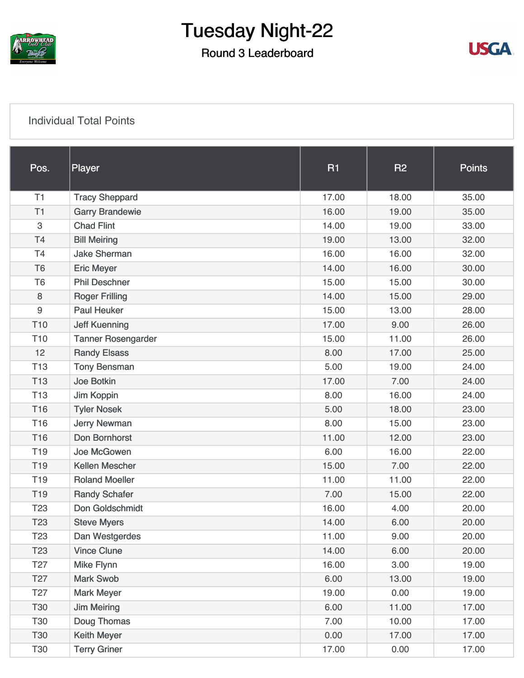

### Round 3 Leaderboard



#### [Individual Total Points](https://static.golfgenius.com/v2tournaments/8105996000759391409?called_from=&round_index=3)

| Pos.            | Player                    | <b>R1</b> | <b>R2</b> | <b>Points</b> |
|-----------------|---------------------------|-----------|-----------|---------------|
| T1              | <b>Tracy Sheppard</b>     | 17.00     | 18.00     | 35.00         |
| T1              | <b>Garry Brandewie</b>    | 16.00     | 19.00     | 35.00         |
| 3               | <b>Chad Flint</b>         | 14.00     | 19.00     | 33.00         |
| T4              | <b>Bill Meiring</b>       | 19.00     | 13.00     | 32.00         |
| <b>T4</b>       | <b>Jake Sherman</b>       | 16.00     | 16.00     | 32.00         |
| T <sub>6</sub>  | <b>Eric Meyer</b>         | 14.00     | 16.00     | 30.00         |
| T <sub>6</sub>  | <b>Phil Deschner</b>      | 15.00     | 15.00     | 30.00         |
| 8               | <b>Roger Frilling</b>     | 14.00     | 15.00     | 29.00         |
| 9               | <b>Paul Heuker</b>        | 15.00     | 13.00     | 28.00         |
| T <sub>10</sub> | <b>Jeff Kuenning</b>      | 17.00     | 9.00      | 26.00         |
| T <sub>10</sub> | <b>Tanner Rosengarder</b> | 15.00     | 11.00     | 26.00         |
| 12              | <b>Randy Elsass</b>       | 8.00      | 17.00     | 25.00         |
| T <sub>13</sub> | <b>Tony Bensman</b>       | 5.00      | 19.00     | 24.00         |
| T <sub>13</sub> | Joe Botkin                | 17.00     | 7.00      | 24.00         |
| T <sub>13</sub> | Jim Koppin                | 8.00      | 16.00     | 24.00         |
| T16             | <b>Tyler Nosek</b>        | 5.00      | 18.00     | 23.00         |
| T <sub>16</sub> | <b>Jerry Newman</b>       | 8.00      | 15.00     | 23.00         |
| T16             | Don Bornhorst             | 11.00     | 12.00     | 23.00         |
| T <sub>19</sub> | Joe McGowen               | 6.00      | 16.00     | 22.00         |
| T <sub>19</sub> | <b>Kellen Mescher</b>     | 15.00     | 7.00      | 22.00         |
| T <sub>19</sub> | <b>Roland Moeller</b>     | 11.00     | 11.00     | 22.00         |
| T <sub>19</sub> | <b>Randy Schafer</b>      | 7.00      | 15.00     | 22.00         |
| T <sub>23</sub> | Don Goldschmidt           | 16.00     | 4.00      | 20.00         |
| T <sub>23</sub> | <b>Steve Myers</b>        | 14.00     | 6.00      | 20.00         |
| T <sub>23</sub> | Dan Westgerdes            | 11.00     | 9.00      | 20.00         |
| T <sub>23</sub> | <b>Vince Clune</b>        | 14.00     | 6.00      | 20.00         |
| T <sub>27</sub> | <b>Mike Flynn</b>         | 16.00     | 3.00      | 19.00         |
| T <sub>27</sub> | <b>Mark Swob</b>          | 6.00      | 13.00     | 19.00         |
| T <sub>27</sub> | <b>Mark Meyer</b>         | 19.00     | 0.00      | 19.00         |
| <b>T30</b>      | <b>Jim Meiring</b>        | 6.00      | 11.00     | 17.00         |
| T30             | Doug Thomas               | 7.00      | 10.00     | 17.00         |
| <b>T30</b>      | <b>Keith Meyer</b>        | 0.00      | 17.00     | 17.00         |
| T30             | <b>Terry Griner</b>       | 17.00     | 0.00      | 17.00         |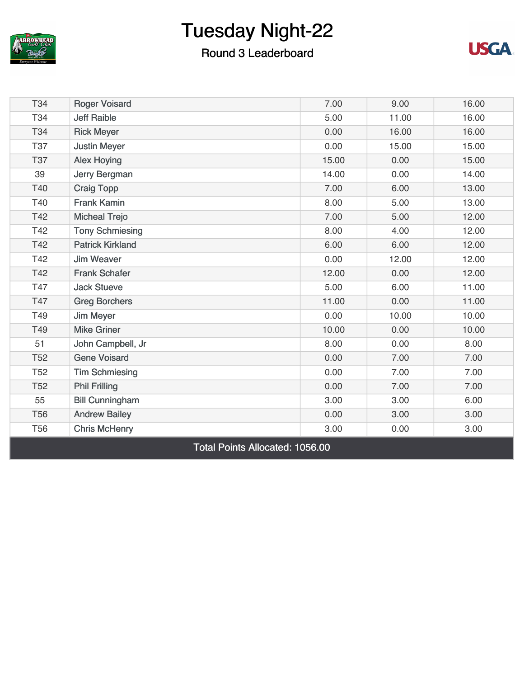

### Round 3 Leaderboard



| T34        | <b>Roger Voisard</b>    | 7.00  | 9.00  | 16.00 |
|------------|-------------------------|-------|-------|-------|
| T34        | <b>Jeff Raible</b>      | 5.00  | 11.00 | 16.00 |
| T34        | <b>Rick Meyer</b>       | 0.00  | 16.00 | 16.00 |
| <b>T37</b> | <b>Justin Meyer</b>     | 0.00  | 15.00 | 15.00 |
| <b>T37</b> | <b>Alex Hoying</b>      | 15.00 | 0.00  | 15.00 |
| 39         | Jerry Bergman           | 14.00 | 0.00  | 14.00 |
| T40        | <b>Craig Topp</b>       | 7.00  | 6.00  | 13.00 |
| T40        | <b>Frank Kamin</b>      | 8.00  | 5.00  | 13.00 |
| T42        | <b>Micheal Trejo</b>    | 7.00  | 5.00  | 12.00 |
| T42        | <b>Tony Schmiesing</b>  | 8.00  | 4.00  | 12.00 |
| T42        | <b>Patrick Kirkland</b> | 6.00  | 6.00  | 12.00 |
| T42        | <b>Jim Weaver</b>       | 0.00  | 12.00 | 12.00 |
| T42        | <b>Frank Schafer</b>    | 12.00 | 0.00  | 12.00 |
| T47        | <b>Jack Stueve</b>      | 5.00  | 6.00  | 11.00 |
| T47        | <b>Greg Borchers</b>    | 11.00 | 0.00  | 11.00 |
| T49        | <b>Jim Meyer</b>        | 0.00  | 10.00 | 10.00 |
| T49        | <b>Mike Griner</b>      | 10.00 | 0.00  | 10.00 |
| 51         | John Campbell, Jr       | 8.00  | 0.00  | 8.00  |
| <b>T52</b> | <b>Gene Voisard</b>     | 0.00  | 7.00  | 7.00  |
| <b>T52</b> | <b>Tim Schmiesing</b>   | 0.00  | 7.00  | 7.00  |
| <b>T52</b> | <b>Phil Frilling</b>    | 0.00  | 7.00  | 7.00  |
| 55         | <b>Bill Cunningham</b>  | 3.00  | 3.00  | 6.00  |
| <b>T56</b> | <b>Andrew Bailey</b>    | 0.00  | 3.00  | 3.00  |
| <b>T56</b> | <b>Chris McHenry</b>    | 3.00  | 0.00  | 3.00  |
|            |                         |       |       |       |

Total Points Allocated: 1056.00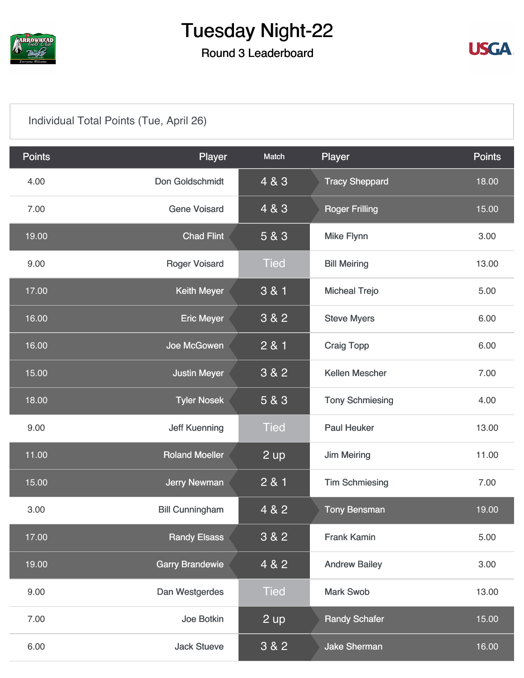

### Round 3 Leaderboard



### [Individual Total Points \(Tue, April 26\)](https://static.golfgenius.com/v2tournaments/8105996012738323636?called_from=&round_index=3)

| <b>Points</b> | Player                 | Match       | Player                 | <b>Points</b> |
|---------------|------------------------|-------------|------------------------|---------------|
| 4.00          | Don Goldschmidt        | 4 & 3       | <b>Tracy Sheppard</b>  | 18.00         |
| 7.00          | <b>Gene Voisard</b>    | 4 & 3       | <b>Roger Frilling</b>  | 15.00         |
| 19.00         | <b>Chad Flint</b>      | 5 & 3       | <b>Mike Flynn</b>      | 3.00          |
| 9.00          | <b>Roger Voisard</b>   | <b>Tied</b> | <b>Bill Meiring</b>    | 13.00         |
| 17.00         | <b>Keith Meyer</b>     | 3 & 1       | <b>Micheal Trejo</b>   | 5.00          |
| 16.00         | <b>Eric Meyer</b>      | 3 & 2       | <b>Steve Myers</b>     | 6.00          |
| 16.00         | Joe McGowen            | 2 & 1       | <b>Craig Topp</b>      | 6.00          |
| 15.00         | <b>Justin Meyer</b>    | 3 & 2       | Kellen Mescher         | 7.00          |
| 18.00         | <b>Tyler Nosek</b>     | 5 & 3       | <b>Tony Schmiesing</b> | 4.00          |
| 9.00          | <b>Jeff Kuenning</b>   | <b>Tied</b> | <b>Paul Heuker</b>     | 13.00         |
| 11.00         | <b>Roland Moeller</b>  | 2 up        | <b>Jim Meiring</b>     | 11.00         |
| 15.00         | <b>Jerry Newman</b>    | 2 & 1       | <b>Tim Schmiesing</b>  | 7.00          |
| 3.00          | <b>Bill Cunningham</b> | 4 & 2       | <b>Tony Bensman</b>    | 19.00         |
| 17.00         | <b>Randy Elsass</b>    | 3 & 2       | <b>Frank Kamin</b>     | 5.00          |
| 19.00         | <b>Garry Brandewie</b> | 4 & 2       | <b>Andrew Bailey</b>   | 3.00          |
| 9.00          | Dan Westgerdes         | <b>Tied</b> | <b>Mark Swob</b>       | 13.00         |
| 7.00          | Joe Botkin             | 2 up        | <b>Randy Schafer</b>   | 15.00         |
| 6.00          | <b>Jack Stueve</b>     | 3 & 2       | <b>Jake Sherman</b>    | 16.00         |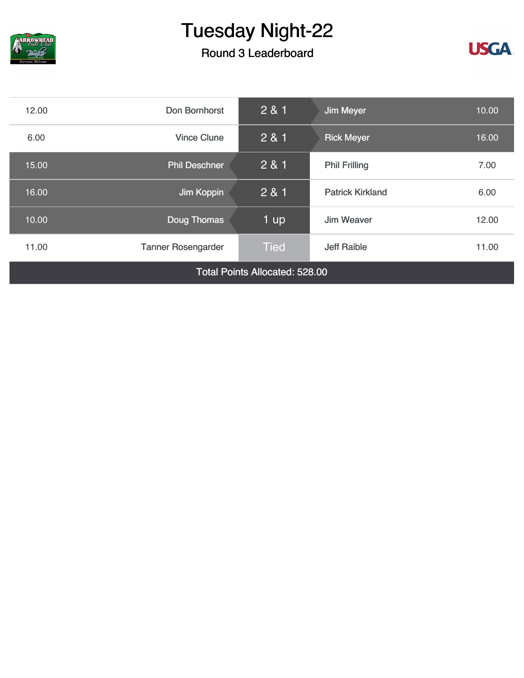

Round 3 Leaderboard



| 12.00                                 | Don Bornhorst             | 281         | <b>Jim Meyer</b>        | 10.00 |
|---------------------------------------|---------------------------|-------------|-------------------------|-------|
| 6.00                                  | <b>Vince Clune</b>        | 2 & 1       | <b>Rick Meyer</b>       | 16.00 |
| 15.00                                 | <b>Phil Deschner</b>      | 281         | <b>Phil Frilling</b>    | 7.00  |
| 16.00                                 | Jim Koppin                | 2 & 1       | <b>Patrick Kirkland</b> | 6.00  |
| 10.00                                 | Doug Thomas               | 1 up        | Jim Weaver              | 12.00 |
| 11.00                                 | <b>Tanner Rosengarder</b> | <b>Tied</b> | <b>Jeff Raible</b>      | 11.00 |
| <b>Total Points Allocated: 528.00</b> |                           |             |                         |       |